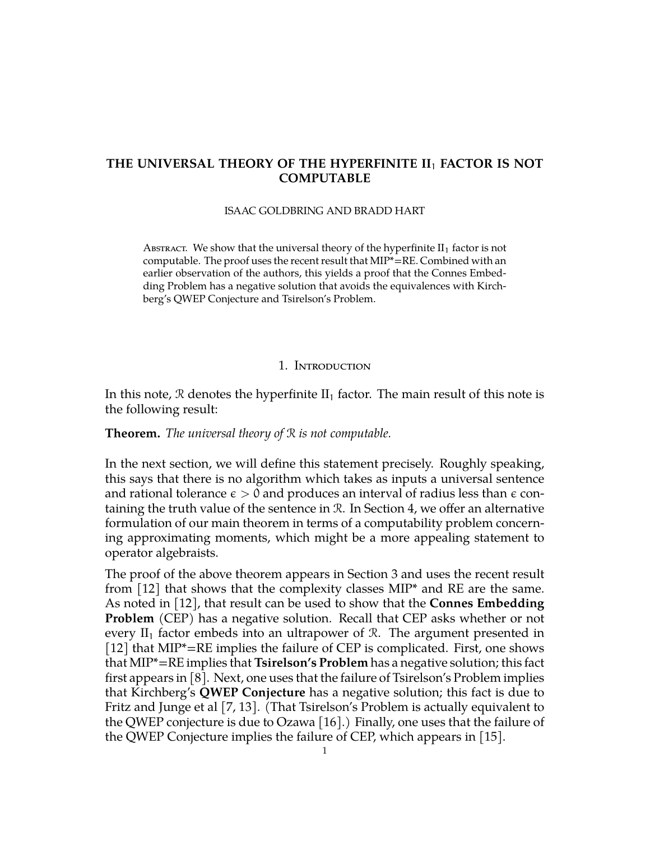# **THE UNIVERSAL THEORY OF THE HYPERFINITE II**<sup>1</sup> **FACTOR IS NOT COMPUTABLE**

#### ISAAC GOLDBRING AND BRADD HART

ABSTRACT. We show that the universal theory of the hyperfinite  $II_1$  factor is not computable. The proof uses the recent result that MIP\*=RE. Combined with an earlier observation of the authors, this yields a proof that the Connes Embedding Problem has a negative solution that avoids the equivalences with Kirchberg's QWEP Conjecture and Tsirelson's Problem.

### 1. Introduction

In this note, R denotes the hyperfinite  $II_1$  factor. The main result of this note is the following result:

## **Theorem.** *The universal theory of* R *is not computable.*

In the next section, we will define this statement precisely. Roughly speaking, this says that there is no algorithm which takes as inputs a universal sentence and rational tolerance  $\epsilon > 0$  and produces an interval of radius less than  $\epsilon$  containing the truth value of the sentence in R. In Section 4, we offer an alternative formulation of our main theorem in terms of a computability problem concerning approximating moments, which might be a more appealing statement to operator algebraists.

The proof of the above theorem appears in Section 3 and uses the recent result from [\[12\]](#page-14-0) that shows that the complexity classes MIP\* and RE are the same. As noted in [\[12\]](#page-14-0), that result can be used to show that the **Connes Embedding Problem** (CEP) has a negative solution. Recall that CEP asks whether or not every  $II_1$  factor embeds into an ultrapower of R. The argument presented in [\[12\]](#page-14-0) that MIP\*=RE implies the failure of CEP is complicated. First, one shows that MIP\*=RE implies that **Tsirelson's Problem** has a negative solution; this fact first appears in [\[8\]](#page-14-1). Next, one uses that the failure of Tsirelson's Problem implies that Kirchberg's **QWEP Conjecture** has a negative solution; this fact is due to Fritz and Junge et al [\[7,](#page-14-2) [13\]](#page-14-3). (That Tsirelson's Problem is actually equivalent to the QWEP conjecture is due to Ozawa [\[16\]](#page-15-0).) Finally, one uses that the failure of the QWEP Conjecture implies the failure of CEP, which appears in [\[15\]](#page-14-4).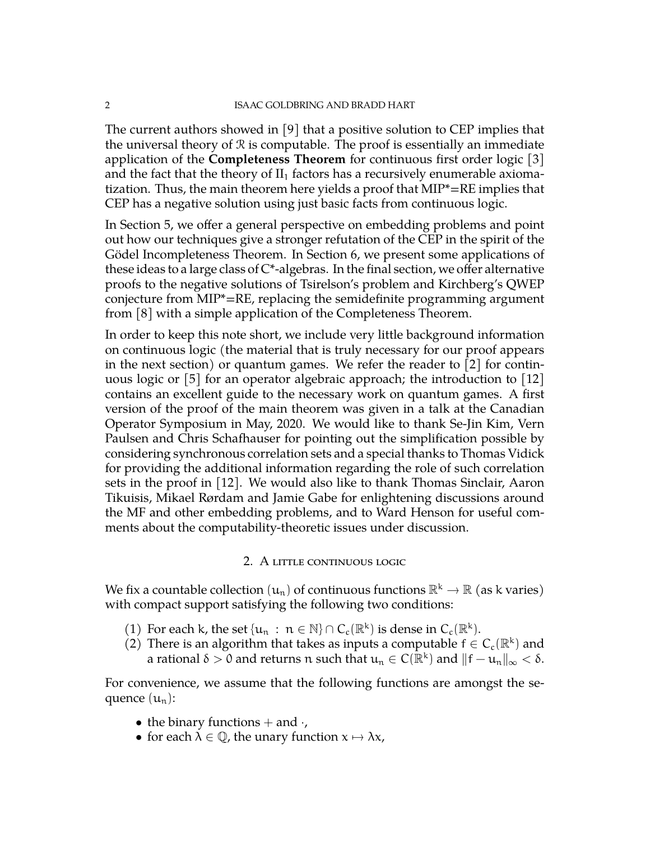The current authors showed in [\[9\]](#page-14-5) that a positive solution to CEP implies that the universal theory of  $R$  is computable. The proof is essentially an immediate application of the **Completeness Theorem** for continuous first order logic [\[3\]](#page-14-6) and the fact that the theory of  $II_1$  factors has a recursively enumerable axiomatization. Thus, the main theorem here yields a proof that MIP\*=RE implies that CEP has a negative solution using just basic facts from continuous logic.

In Section 5, we offer a general perspective on embedding problems and point out how our techniques give a stronger refutation of the CEP in the spirit of the Gödel Incompleteness Theorem. In Section 6, we present some applications of these ideas to a large class of  $C^*$ -algebras. In the final section, we offer alternative proofs to the negative solutions of Tsirelson's problem and Kirchberg's QWEP conjecture from MIP\*=RE, replacing the semidefinite programming argument from [\[8\]](#page-14-1) with a simple application of the Completeness Theorem.

In order to keep this note short, we include very little background information on continuous logic (the material that is truly necessary for our proof appears in the next section) or quantum games. We refer the reader to [\[2\]](#page-14-7) for continuous logic or  $\lceil 5 \rceil$  for an operator algebraic approach; the introduction to  $\lceil 12 \rceil$ contains an excellent guide to the necessary work on quantum games. A first version of the proof of the main theorem was given in a talk at the Canadian Operator Symposium in May, 2020. We would like to thank Se-Jin Kim, Vern Paulsen and Chris Schafhauser for pointing out the simplification possible by considering synchronous correlation sets and a special thanks to Thomas Vidick for providing the additional information regarding the role of such correlation sets in the proof in [\[12\]](#page-14-0). We would also like to thank Thomas Sinclair, Aaron Tikuisis, Mikael Rørdam and Jamie Gabe for enlightening discussions around the MF and other embedding problems, and to Ward Henson for useful comments about the computability-theoretic issues under discussion.

## 2. A little continuous logic

We fix a countable collection  $(u_n)$  of continuous functions  $\mathbb{R}^k \to \mathbb{R}$  (as k varies) with compact support satisfying the following two conditions:

- (1) For each k, the set  $\{u_n : n \in \mathbb{N}\} \cap C_c(\mathbb{R}^k)$  is dense in  $C_c(\mathbb{R}^k)$ .
- (2) There is an algorithm that takes as inputs a computable  $f \in C_c(\mathbb{R}^k)$  and a rational  $\delta > 0$  and returns n such that  $u_n \in C(\mathbb{R}^k)$  and  $||f - u_n||_{\infty} < \delta$ .

For convenience, we assume that the following functions are amongst the sequence  $(u_n)$ :

- the binary functions  $+$  and  $\cdot$ ,
- for each  $\lambda \in \mathbb{Q}$ , the unary function  $x \mapsto \lambda x$ ,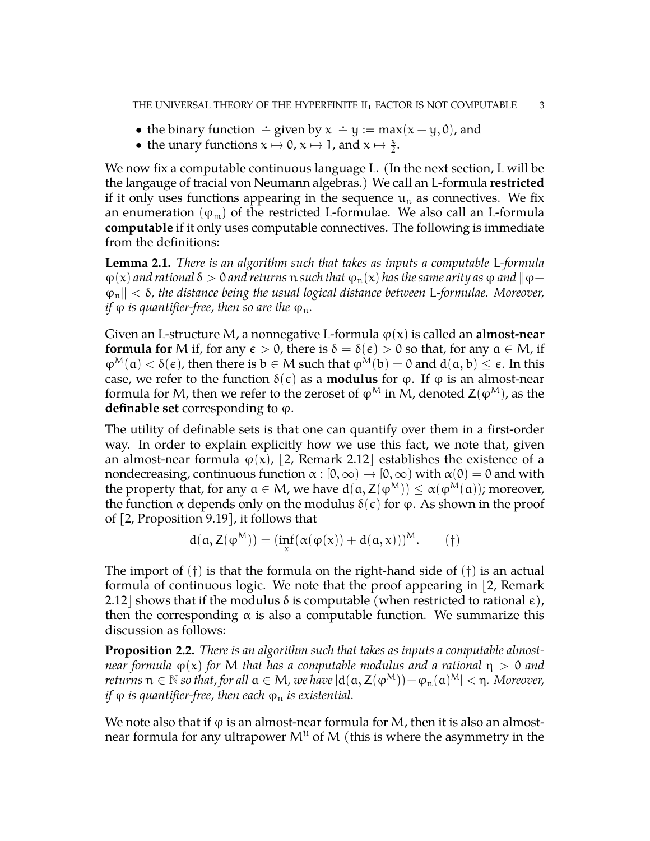- the binary function  $\div$  given by  $x \div y := \max(x y, 0)$ , and
- the unary functions  $x \mapsto 0$ ,  $x \mapsto 1$ , and  $x \mapsto \frac{x}{2}$ .

We now fix a computable continuous language L. (In the next section, L will be the langauge of tracial von Neumann algebras.) We call an L-formula **restricted** if it only uses functions appearing in the sequence  $u_n$  as connectives. We fix an enumeration ( $\varphi_m$ ) of the restricted L-formulae. We also call an L-formula **computable** if it only uses computable connectives. The following is immediate from the definitions:

**Lemma 2.1.** *There is an algorithm such that takes as inputs a computable* L*-formula*  $\varphi(x)$  *and rational*  $\delta > 0$  *and returns*  $\pi$  *such that*  $\varphi_{\pi}(x)$  *has the same arity as*  $\varphi$  *and*  $\|\varphi - \varphi\|$ ϕnk < δ*, the distance being the usual logical distance between* L*-formulae. Moreover, if*  $\varphi$  *is quantifier-free, then so are the*  $\varphi_n$ *.* 

Given an L-structure M, a nonnegative L-formula  $\varphi(x)$  is called an **almost-near formula for** M if, for any  $\epsilon > 0$ , there is  $\delta = \delta(\epsilon) > 0$  so that, for any  $\alpha \in M$ , if  $\varphi^M(a) < \delta(\epsilon)$ , then there is  $b \in M$  such that  $\varphi^M(b) = 0$  and  $d(a, b) \leq \epsilon$ . In this case, we refer to the function  $\delta(\epsilon)$  as a **modulus** for  $\varphi$ . If  $\varphi$  is an almost-near formula for M, then we refer to the zeroset of  $\varphi^M$  in M, denoted  $Z(\varphi^M)$ , as the **definable set** corresponding to  $\varphi$ .

The utility of definable sets is that one can quantify over them in a first-order way. In order to explain explicitly how we use this fact, we note that, given an almost-near formula  $\varphi(x)$ , [\[2,](#page-14-7) Remark 2.12] establishes the existence of a nondecreasing, continuous function  $\alpha : [0, \infty) \to [0, \infty)$  with  $\alpha(0) = 0$  and with the property that, for any  $a \in M$ , we have  $d(a, Z(\varphi^M)) \leq \alpha(\varphi^M(a))$ ; moreover, the function  $\alpha$  depends only on the modulus  $\delta(\epsilon)$  for  $\varphi$ . As shown in the proof of [\[2,](#page-14-7) Proposition 9.19], it follows that

$$
d(a, Z(\phi^M)) = (\inf_x (\alpha(\phi(x)) + d(a, x)))^M.
$$
 (†)

The import of  $(\dagger)$  is that the formula on the right-hand side of  $(\dagger)$  is an actual formula of continuous logic. We note that the proof appearing in [\[2,](#page-14-7) Remark 2.12] shows that if the modulus  $\delta$  is computable (when restricted to rational  $\epsilon$ ), then the corresponding  $\alpha$  is also a computable function. We summarize this discussion as follows:

**Proposition 2.2.** *There is an algorithm such that takes as inputs a computable almostnear formula*  $\varphi(x)$  *for* M *that has a computable modulus and a rational*  $\eta > 0$  *and returns*  $n \in \mathbb{N}$  *so that, for all*  $a \in M$ , we have  $|d(a, Z(φ^M)) - φ_n(a)^M| < n$ . Moreover, *if*  $\varphi$  *is quantifier-free, then each*  $\varphi_n$  *is existential.* 

We note also that if  $\varphi$  is an almost-near formula for M, then it is also an almostnear formula for any ultrapower  $M^{\mathfrak{U}}$  of M (this is where the asymmetry in the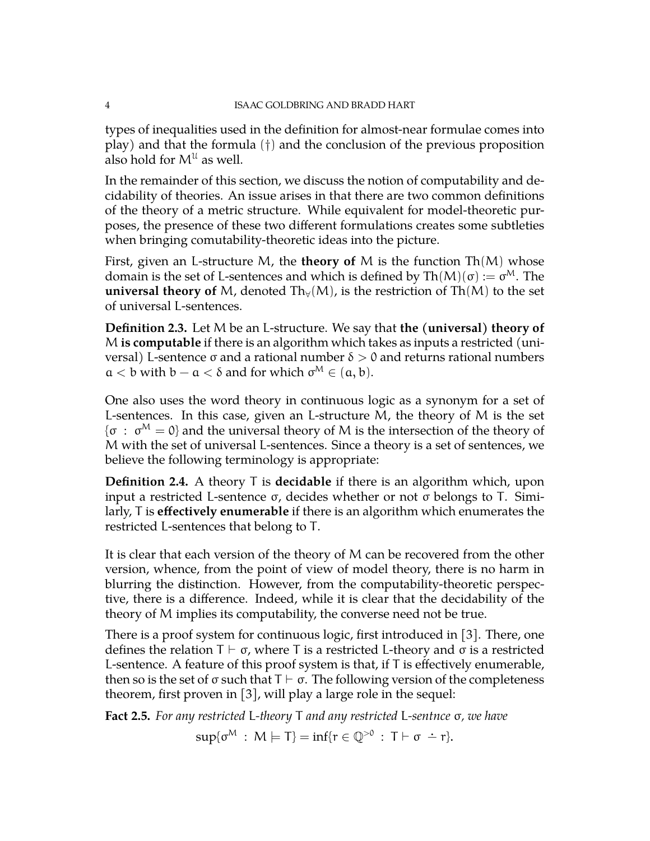types of inequalities used in the definition for almost-near formulae comes into play) and that the formula (†) and the conclusion of the previous proposition also hold for  $M^{\mathfrak{U}}$  as well.

In the remainder of this section, we discuss the notion of computability and decidability of theories. An issue arises in that there are two common definitions of the theory of a metric structure. While equivalent for model-theoretic purposes, the presence of these two different formulations creates some subtleties when bringing comutability-theoretic ideas into the picture.

First, given an L-structure M, the **theory of** M is the function Th(M) whose domain is the set of L-sentences and which is defined by  $\text{Th}(M)(\sigma) := \sigma^M$ . The **universal theory of** M, denoted  $Th<sub>V</sub>(M)$ , is the restriction of  $Th(M)$  to the set of universal L-sentences.

**Definition 2.3.** Let M be an L-structure. We say that **the (universal) theory of** M **is computable** if there is an algorithm which takes as inputs a restricted (universal) L-sentence σ and a rational number  $δ > 0$  and returns rational numbers  $a < b$  with  $b - a < \delta$  and for which  $\sigma^M \in (a, b)$ .

One also uses the word theory in continuous logic as a synonym for a set of L-sentences. In this case, given an L-structure M, the theory of M is the set  $\{\sigma \; : \; \sigma^M = 0\}$  and the universal theory of M is the intersection of the theory of M with the set of universal L-sentences. Since a theory is a set of sentences, we believe the following terminology is appropriate:

**Definition 2.4.** A theory T is **decidable** if there is an algorithm which, upon input a restricted L-sentence σ, decides whether or not σ belongs to T. Similarly, T is **effectively enumerable** if there is an algorithm which enumerates the restricted L-sentences that belong to T.

It is clear that each version of the theory of M can be recovered from the other version, whence, from the point of view of model theory, there is no harm in blurring the distinction. However, from the computability-theoretic perspective, there is a difference. Indeed, while it is clear that the decidability of the theory of M implies its computability, the converse need not be true.

There is a proof system for continuous logic, first introduced in [\[3\]](#page-14-6). There, one defines the relation  $T \vdash \sigma$ , where T is a restricted L-theory and  $\sigma$  is a restricted L-sentence. A feature of this proof system is that, if T is effectively enumerable, then so is the set of  $\sigma$  such that  $T \vdash \sigma$ . The following version of the completeness theorem, first proven in [\[3\]](#page-14-6), will play a large role in the sequel:

**Fact 2.5.** *For any restricted* L*-theory* T *and any restricted* L*-sentnce* σ*, we have*

 $\sup\{\sigma^{\mathcal{M}} : \mathcal{M} \models \mathcal{T}\} = \inf\{r \in \mathbb{Q}^{>0} : \mathcal{T} \vdash \sigma \doteq r\}.$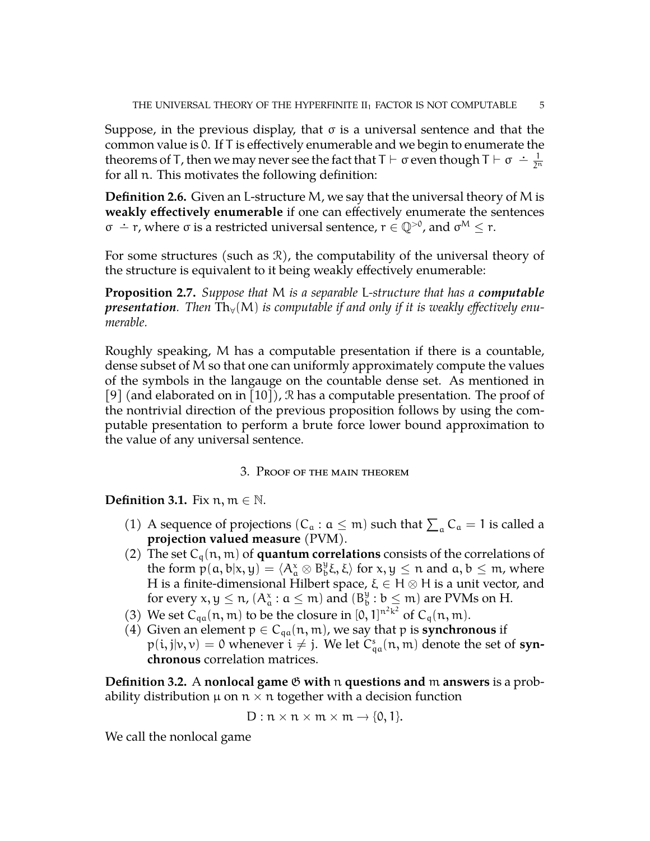Suppose, in the previous display, that  $\sigma$  is a universal sentence and that the common value is 0. If T is effectively enumerable and we begin to enumerate the theorems of T, then we may never see the fact that  $T \vdash \sigma$  even though  $T \vdash \sigma \doteq \frac{1}{2^T}$  $\overline{2^n}$ for all n. This motivates the following definition:

**Definition 2.6.** Given an L-structure M, we say that the universal theory of M is **weakly effectively enumerable** if one can effectively enumerate the sentences  $σ$   $\div$  r, where  $σ$  is a restricted universal sentence,  $r \in \mathbb{Q}^{>0}$ , and  $σ^M \le r$ .

For some structures (such as  $\mathcal{R}$ ), the computability of the universal theory of the structure is equivalent to it being weakly effectively enumerable:

**Proposition 2.7.** *Suppose that* M *is a separable* L*-structure that has a computable presentation.* Then  $Th_v(M)$  is computable if and only if it is weakly effectively enu*merable.*

Roughly speaking, M has a computable presentation if there is a countable, dense subset of M so that one can uniformly approximately compute the values of the symbols in the langauge on the countable dense set. As mentioned in [\[9\]](#page-14-5) (and elaborated on in [\[10\]](#page-14-9)), R has a computable presentation. The proof of the nontrivial direction of the previous proposition follows by using the computable presentation to perform a brute force lower bound approximation to the value of any universal sentence.

## 3. Proof of the main theorem

**Definition 3.1.** Fix  $n, m \in \mathbb{N}$ .

- (1) A sequence of projections ( $C_a : a \leq m$ ) such that  $\sum_a C_a = 1$  is called a **projection valued measure** (PVM).
- (2) The set  $C_q(n, m)$  of **quantum correlations** consists of the correlations of the form  $p(a, b|x, y) = \langle A_a^x \otimes B_b^y \xi, \xi \rangle$  for  $x, y \leq n$  and  $a, b \leq m$ , where H is a finite-dimensional Hilbert space,  $\xi \in H \otimes H$  is a unit vector, and for every  $x, y \leq n$ ,  $(A^x_a : a \leq m)$  and  $(B^y_b$  $\frac{9}{b}$  :  $b \le m$ ) are PVMs on H.
- (3) We set  $C_{qa}(n, m)$  to be the closure in  $[0, 1]^{n^2 k^2}$  of  $C_q(n, m)$ .
- (4) Given an element  $p \in C_{qa}(n, m)$ , we say that p is **synchronous** if  $p(i,j|v,v) = 0$  whenever  $i \neq j$ . We let  $C_{qa}^s(n,m)$  denote the set of **synchronous** correlation matrices.

**Definition 3.2.** A **nonlocal game** G **with** n **questions and** m **answers** is a probability distribution  $\mu$  on  $n \times n$  together with a decision function

$$
D: \mathfrak{n} \times \mathfrak{n} \times \mathfrak{m} \times \mathfrak{m} \to \{0,1\}.
$$

We call the nonlocal game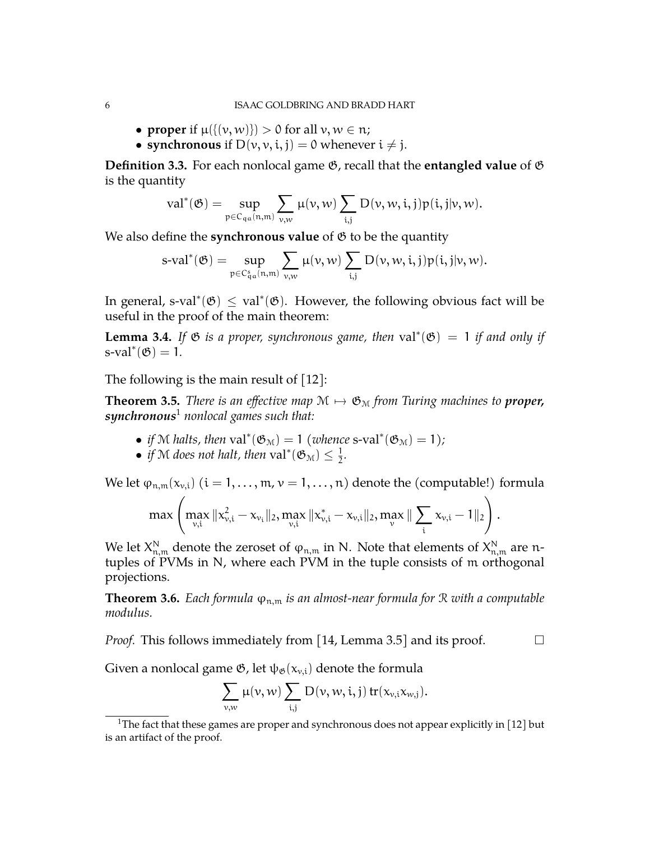- **proper** if  $\mu({\{(v, w)\}}) > 0$  for all  $v, w \in \mathfrak{n}$ ;
- **synchronous** if  $D(v, v, i, j) = 0$  whenever  $i \neq j$ .

**Definition 3.3.** For each nonlocal game  $\mathfrak{G}$ , recall that the **entangled value** of  $\mathfrak{G}$ is the quantity

$$
\mathrm{val}^*(\mathfrak{G})=\sup_{\mathfrak{p}\in C_{q\mathfrak{a}}(n,m)}\sum_{\mathfrak{v},w}\mu(\mathfrak{v},w)\sum_{i,j}D(\mathfrak{v},w,i,j)p(i,j|\mathfrak{v},w).
$$

We also define the **synchronous value** of  $\mathfrak{G}$  to be the quantity

$$
\text{s-val}^*(\mathfrak{G})=\sup_{\mathfrak{p}\in C^s_{\mathfrak{q} \mathfrak{a}}(n,m)}\sum_{\nu,w} \mu(\nu,w)\sum_{i,j} D(\nu,w,i,j)p(i,j|\nu,w).
$$

In general, s-val<sup>\*</sup>( $\mathfrak{G}$ )  $\leq$  val<sup>\*</sup>( $\mathfrak{G}$ ). However, the following obvious fact will be useful in the proof of the main theorem:

**Lemma 3.4.** If  $\mathfrak{G}$  *is a proper, synchronous game, then* val<sup>\*</sup>( $\mathfrak{G}$ ) = 1 *if and only if*  $s$ -val<sup>\*</sup> $(\mathfrak{G}) = 1$ .

The following is the main result of [\[12\]](#page-14-0):

<span id="page-5-1"></span>**Theorem 3.5.** *There is an effective map*  $M \mapsto \mathfrak{G}_M$  *from Turing machines to proper, synchronous*[1](#page-5-0) *nonlocal games such that:*

- *if* M *halts, then*  $val^*(\mathfrak{G}_M) = 1$  (whence s-val<sup>\*</sup>( $\mathfrak{G}_M$ ) = 1);
- *if* M *does not halt, then* val<sup>\*</sup>( $\mathfrak{G}_{\mathcal{M}}$ )  $\leq \frac{1}{2}$  $\frac{1}{2}$ .

We let  $\varphi_{n,m}(x_{v,i})$   $(i = 1, ..., m, v = 1, ..., n)$  denote the (computable!) formula

$$
\max \left( \max_{\nu, i} \|x_{\nu,i}^2 - x_{\nu_i}\|_2, \max_{\nu,i} \|x_{\nu,i}^* - x_{\nu,i}\|_2, \max_{\nu} \| \sum_i x_{\nu,i} - 1 \|_2 \right).
$$

We let  $X^{\mathsf{N}}_{n,m}$  denote the zeroset of  $\varphi_{n,m}$  in N. Note that elements of  $X^{\mathsf{N}}_{n,m}$  are ntuples of PVMs in N, where each PVM in the tuple consists of m orthogonal projections.

**Theorem 3.6.** *Each formula*  $\varphi_{n,m}$  *is an almost-near formula for*  $\Re$  *with a computable modulus.*

*Proof.* This follows immediately from [\[14,](#page-14-10) Lemma 3.5] and its proof.  $\Box$ 

Given a nonlocal game  $\mathfrak{G}$ , let  $\psi_{\mathfrak{G}}(x_{v,i})$  denote the formula

$$
\sum_{\nu,w}\mu(\nu,w)\sum_{i,j}D(\nu,w,i,j)\,tr(x_{\nu,i}x_{w,j}).
$$

<span id="page-5-0"></span><sup>&</sup>lt;sup>1</sup>The fact that these games are proper and synchronous does not appear explicitly in [\[12\]](#page-14-0) but is an artifact of the proof.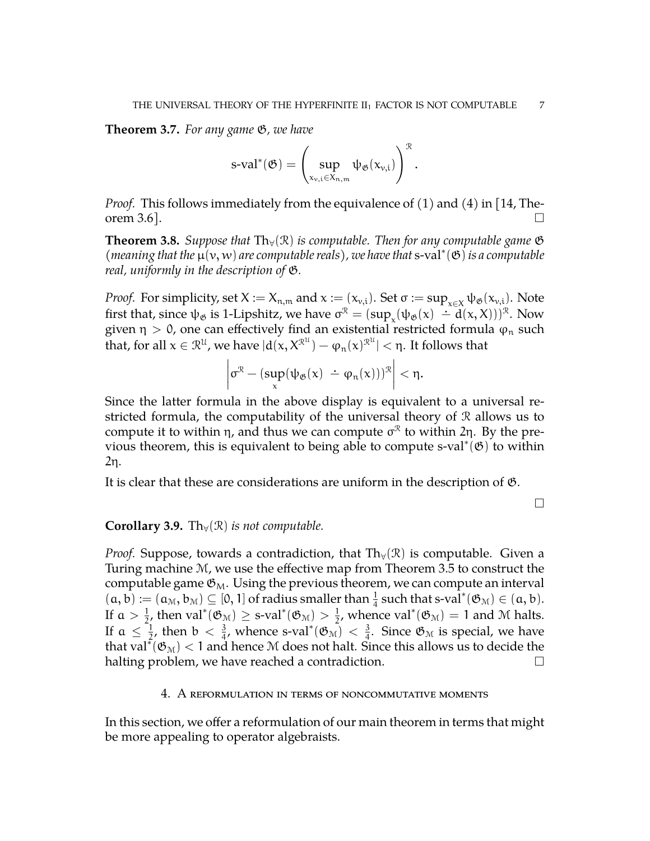**Theorem 3.7.** *For any game* G*, we have*

$$
s\text{-}\mathrm{val}^*(\mathfrak{G})=\left(\sup_{x_{\nu,i}\in X_{n,m}}\psi_{\mathfrak{G}}(x_{\nu,i})\right)^{\mathfrak{R}}.
$$

*Proof.* This follows immediately from the equivalence of (1) and (4) in [\[14,](#page-14-10) Theorem 3.6].

<span id="page-6-0"></span>**Theorem 3.8.** *Suppose that*  $Th<sub>∀</sub>(\mathcal{R})$  *is computable. Then for any computable game*  $\mathfrak{G}$ *(meaning that the* µ(v, w) *are computable reals), we have that* s-val<sup>∗</sup> (G)*is a computable real, uniformly in the description of* G*.*

*Proof.* For simplicity, set  $X := X_{n,m}$  and  $x := (x_{v,i})$ . Set  $\sigma := \sup_{x \in X} \psi_{\mathfrak{G}}(x_{v,i})$ . Note first that, since  $\psi_{\mathfrak{G}}$  is 1-Lipshitz, we have  $\sigma^{\mathcal{R}} = (\sup_x (\psi_{\mathfrak{G}}(x) - d(x,X)))^{\mathcal{R}}$ . Now given  $\eta > 0$ , one can effectively find an existential restricted formula  $\varphi_n$  such that, for all  $\chi\in\mathcal{R}^{\mathfrak{U}},$  we have  $|\textup{d}(\chi,X^{\mathfrak{X}^{\mathfrak{U}}})-\phi_{\mathfrak{n}}(\chi)^{\mathfrak{X}^{\mathfrak{U}}} |<\mathfrak{\eta}.$  It follows that

$$
\left|\sigma^{\mathcal{R}} - (\sup_{x}(\psi_{\mathfrak{G}}(x) \doteq \varphi_n(x)))^{\mathcal{R}}\right| < \eta.
$$

Since the latter formula in the above display is equivalent to a universal restricted formula, the computability of the universal theory of  $R$  allows us to compute it to within η, and thus we can compute  $\sigma^{\mathcal{R}}$  to within 2η. By the previous theorem, this is equivalent to being able to compute s-val\* $(\mathfrak{G})$  to within 2η.

It is clear that these are considerations are uniform in the description of G.

 $\Box$ 

## **Corollary 3.9.** Th $_{\forall}(\mathcal{R})$  *is not computable.*

*Proof.* Suppose, towards a contradiction, that  $Th<sub>∀</sub>(\mathcal{R})$  is computable. Given a Turing machine M, we use the effective map from Theorem [3.5](#page-5-1) to construct the computable game  $\mathfrak{G}_M$ . Using the previous theorem, we can compute an interval  $(a, b) := (a_M, b_M) \subseteq [0, 1]$  of radius smaller than  $\frac{1}{4}$  such that s-val<sup>\*</sup> $(\mathfrak{G}_M) \in (a, b)$ . If  $a > \frac{1}{2}$ , then val<sup>\*</sup>( $\mathfrak{G}_M$ )  $\geq$  s-val<sup>\*</sup>( $\mathfrak{G}_M$ )  $> \frac{1}{2}$  $\frac{1}{2}$ , whence val<sup>\*</sup>( $\mathfrak{G}_{\mathcal{M}}$ ) = 1 and M halts. If  $a \leq \frac{1}{2}$  $\frac{1}{2}$ , then  $b < \frac{3}{4}$ , whence s-val\* $(\mathfrak{G}_{\mathfrak{M}}) < \frac{3}{4}$  $\frac{3}{4}$ . Since  $\mathfrak{G}_{\mathfrak{M}}$  is special, we have that val $^{\tilde{*}}(\mathfrak{G}_{\mathfrak{M}})< 1$  and hence M does not halt. Since this allows us to decide the halting problem, we have reached a contradiction.  $\Box$ 

#### 4. A reformulation in terms of noncommutative moments

In this section, we offer a reformulation of our main theorem in terms that might be more appealing to operator algebraists.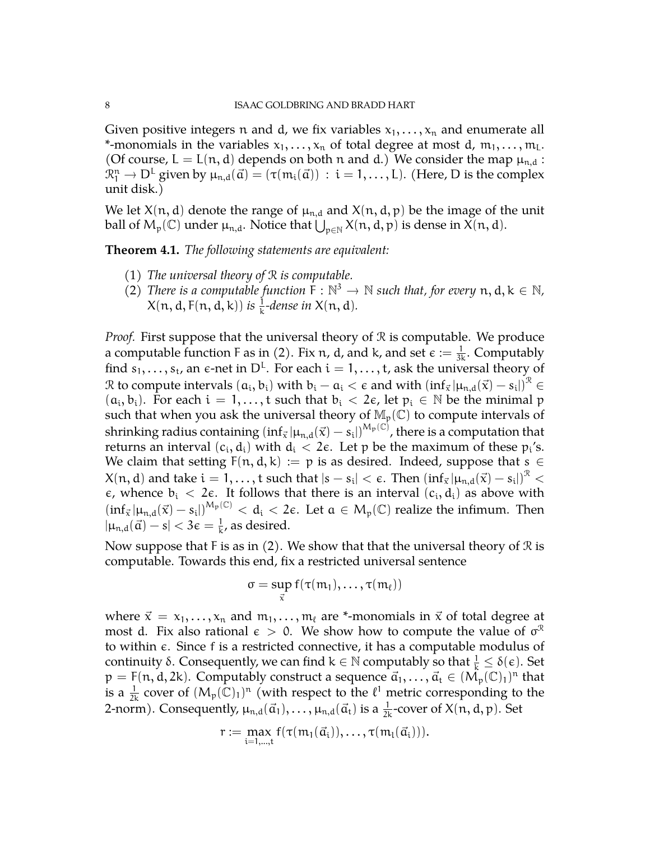Given positive integers n and d, we fix variables  $x_1, \ldots, x_n$  and enumerate all \*-monomials in the variables  $x_1, \ldots, x_n$  of total degree at most d,  $m_1, \ldots, m_L$ . (Of course,  $L = L(n, d)$  depends on both n and d.) We consider the map  $\mu_{n,d}$ :  $\mathcal{R}_1^n \to \mathsf{D}^{\mathsf{L}}$  given by  $\mu_{n,d}(\vec{\alpha}) = (\tau(m_i(\vec{\alpha})) \; : \; i = 1, \ldots, \mathsf{L}).$  (Here,  $\mathsf{D}$  is the complex unit disk.)

We let  $X(n, d)$  denote the range of  $\mu_{n,d}$  and  $X(n, d, p)$  be the image of the unit ball of  $M_p(\mathbb{C})$  under  $\mu_{n,d}$ . Notice that  $\bigcup_{p\in\mathbb{N}}X(n,d,p)$  is dense in  $X(n,d)$ .

**Theorem 4.1.** *The following statements are equivalent:*

- (1) *The universal theory of* R *is computable.*
- (2) *There is a computable function*  $\overline{F}$ :  $\mathbb{N}^3 \to \mathbb{N}$  *such that, for every*  $n, d, k \in \mathbb{N}$ ,<br> $X(n, d, \overline{F}(n, d, b))$  is a deveating  $X(n, d)$  $X(n, d, F(n, d, k))$  is  $\frac{1}{k}$ -dense in  $X(n, d)$ .

*Proof.* First suppose that the universal theory of  $\Re$  is computable. We produce a computable function F as in (2). Fix n, d, and k, and set  $\epsilon := \frac{1}{3k}$ . Computably find  $s_1,\ldots,s_t$ , an  $\epsilon$ -net in  $D^L$ . For each  $i=1,\ldots,t$ , ask the universal theory of  $\mathcal R$  to compute intervals  $(a_i, b_i)$  with  $b_i - a_i < \epsilon$  and with  $(\inf_{\vec x}|\mu_{n,d}(\vec x) - s_i|)^{\mathcal R} \in$  $(a_i, b_i)$ . For each  $i = 1, ..., t$  such that  $b_i < 2\epsilon$ , let  $p_i \in \mathbb{N}$  be the minimal p such that when you ask the universal theory of  $\mathbb{M}_p(\mathbb{C})$  to compute intervals of shrinking radius containing  $(\inf_{\vec{x}} | \mu_{n,d}(\vec{x}) - s_i|)^{M_p(\mathbb{C})}$ , there is a computation that returns an interval  $(c_i, d_i)$  with  $d_i < 2\epsilon$ . Let p be the maximum of these  $p_i$ 's. We claim that setting  $F(n, d, k) := p$  is as desired. Indeed, suppose that  $s \in$  $\mathsf{X}(\mathfrak{n},\mathrm{d})$  and take  $\mathfrak{i}=1,\ldots,\mathfrak{t}$  such that  $|\mathfrak{s}-\mathfrak{s_i}|<\epsilon.$  Then  $(\mathrm{inf}_{\vec{\mathsf{x}}}|\mu_{\mathfrak{n},\mathrm{d}}(\vec{\mathsf{x}})-\mathfrak{s_i}|)^\mathfrak{R}<\epsilon.$  $\epsilon$ , whence  $b_i < 2\epsilon$ . It follows that there is an interval  $(c_i, d_i)$  as above with  $(\inf_{\vec{x}} |\mu_{n,d}(\vec{x}) - s_i|)^{M_p(\mathbb{C})} < d_i < 2\varepsilon$ . Let  $\alpha \in M_p(\mathbb{C})$  realize the infimum. Then  $|\mu_{n,d}(\vec{\alpha})-s| < 3\epsilon = \frac{1}{k}$  $\frac{1}{k}$ , as desired.

Now suppose that F is as in (2). We show that that the universal theory of  $\Re$  is computable. Towards this end, fix a restricted universal sentence

$$
\sigma = \sup_{\vec{x}} f(\tau(m_1), \ldots, \tau(m_\ell))
$$

where  $\vec{x} = x_1, \dots, x_n$  and  $m_1, \dots, m_\ell$  are \*-monomials in  $\vec{x}$  of total degree at most d. Fix also rational  $\epsilon > 0$ . We show how to compute the value of  $\sigma^{\mathcal{R}}$ to within  $\epsilon$ . Since f is a restricted connective, it has a computable modulus of continuity  $\delta$ . Consequently, we can find  $k \in \mathbb{N}$  computably so that  $\frac{1}{k} \leq \delta(\epsilon)$ . Set  $p = F(n, d, 2k)$ . Computably construct a sequence  $\vec{a}_1, \ldots, \vec{a}_t \in (\mathcal{M}_p(\mathbb{C})_1)^n$  that is a  $\frac{1}{2k}$  cover of  $(M_p(\mathbb{C})_1)^n$  (with respect to the  $\ell^1$  metric corresponding to the 2-norm). Consequently,  $\mu_{n,d}(\vec{a}_1), \ldots, \mu_{n,d}(\vec{a}_t)$  is a  $\frac{1}{2k}$ -cover of  $X(n,d,p)$ . Set

$$
r := \max_{i=1,\dots,t} f(\tau(m_1(\vec{a}_i)), \dots, \tau(m_l(\vec{a}_i))).
$$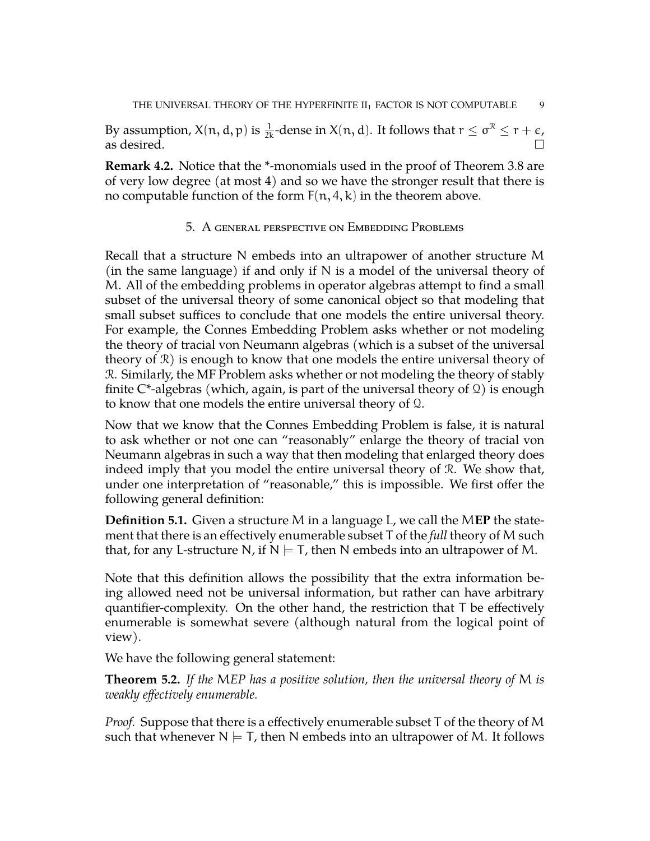By assumption,  $X(n, d, p)$  is  $\frac{1}{2k}$ -dense in  $X(n, d)$ . It follows that  $r \leq \sigma^{\mathcal{R}} \leq r + \epsilon$ , as desired.  $\Box$ 

**Remark 4.2.** Notice that the \*-monomials used in the proof of Theorem [3.8](#page-6-0) are of very low degree (at most 4) and so we have the stronger result that there is no computable function of the form  $F(n, 4, k)$  in the theorem above.

## 5. A general perspective on Embedding Problems

Recall that a structure N embeds into an ultrapower of another structure M (in the same language) if and only if N is a model of the universal theory of M. All of the embedding problems in operator algebras attempt to find a small subset of the universal theory of some canonical object so that modeling that small subset suffices to conclude that one models the entire universal theory. For example, the Connes Embedding Problem asks whether or not modeling the theory of tracial von Neumann algebras (which is a subset of the universal theory of  $\mathcal{R}$ ) is enough to know that one models the entire universal theory of R. Similarly, the MF Problem asks whether or not modeling the theory of stably finite  $C^*$ -algebras (which, again, is part of the universal theory of  $\Omega$ ) is enough to know that one models the entire universal theory of Q.

Now that we know that the Connes Embedding Problem is false, it is natural to ask whether or not one can "reasonably" enlarge the theory of tracial von Neumann algebras in such a way that then modeling that enlarged theory does indeed imply that you model the entire universal theory of R. We show that, under one interpretation of "reasonable," this is impossible. We first offer the following general definition:

**Definition 5.1.** Given a structure M in a language L, we call the M**EP** the statement that there is an effectively enumerable subset T of the *full* theory of M such that, for any L-structure N, if  $N \models T$ , then N embeds into an ultrapower of M.

Note that this definition allows the possibility that the extra information being allowed need not be universal information, but rather can have arbitrary quantifier-complexity. On the other hand, the restriction that T be effectively enumerable is somewhat severe (although natural from the logical point of view).

We have the following general statement:

<span id="page-8-0"></span>**Theorem 5.2.** *If the* M*EP has a positive solution, then the universal theory of* M *is weakly effectively enumerable.*

*Proof.* Suppose that there is a effectively enumerable subset T of the theory of M such that whenever  $N \models T$ , then N embeds into an ultrapower of M. It follows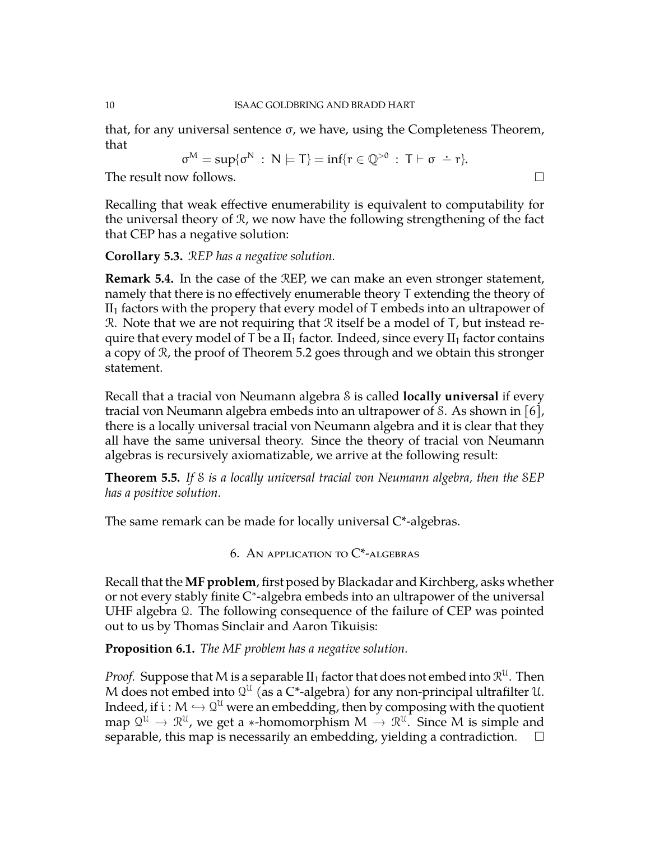that, for any universal sentence σ, we have, using the Completeness Theorem, that

$$
\sigma^M = \sup \{ \sigma^N \, : \, N \models T \} = \inf \{ r \in \mathbb{Q}^{>0} \, : \, T \vdash \sigma \; \doteq \; r \}.
$$

The result now follows.

Recalling that weak effective enumerability is equivalent to computability for the universal theory of R, we now have the following strengthening of the fact that CEP has a negative solution:

## **Corollary 5.3.** R*EP has a negative solution.*

**Remark 5.4.** In the case of the REP, we can make an even stronger statement, namely that there is no effectively enumerable theory T extending the theory of  $II<sub>1</sub>$  factors with the propery that every model of T embeds into an ultrapower of  $\mathcal{R}$ . Note that we are not requiring that  $\mathcal{R}$  itself be a model of  $T$ , but instead require that every model of T be a  $II_1$  factor. Indeed, since every  $II_1$  factor contains a copy of R, the proof of Theorem [5.2](#page-8-0) goes through and we obtain this stronger statement.

Recall that a tracial von Neumann algebra S is called **locally universal** if every tracial von Neumann algebra embeds into an ultrapower of S. As shown in [\[6\]](#page-14-11), there is a locally universal tracial von Neumann algebra and it is clear that they all have the same universal theory. Since the theory of tracial von Neumann algebras is recursively axiomatizable, we arrive at the following result:

**Theorem 5.5.** *If* S *is a locally universal tracial von Neumann algebra, then the* S*EP has a positive solution.*

The same remark can be made for locally universal C\*-algebras.

6. AN APPLICATION TO  $C^*$ -ALGEBRAS

Recall that the **MF problem**, first posed by Blackadar and Kirchberg, asks whether or not every stably finite C ∗ -algebra embeds into an ultrapower of the universal UHF algebra Q. The following consequence of the failure of CEP was pointed out to us by Thomas Sinclair and Aaron Tikuisis:

**Proposition 6.1.** *The MF problem has a negative solution.*

*Proof.* Suppose that M is a separable  ${\rm II}_1$  factor that does not embed into  $\mathcal{R}^{\mathfrak{U}}$ . Then M does not embed into  $\mathcal{Q}^{\mathfrak{U}}$  (as a C\*-algebra) for any non-principal ultrafilter  $\mathfrak{U}$ . Indeed, if  $i : M \hookrightarrow Q^U$  were an embedding, then by composing with the quotient map  $\mathcal{Q}^{\mathcal{U}} \to \mathcal{R}^{\mathcal{U}}$ , we get a ∗-homomorphism  $M \to \mathcal{R}^{\mathcal{U}}$ . Since M is simple and separable, this map is necessarily an embedding, yielding a contradiction.  $\Box$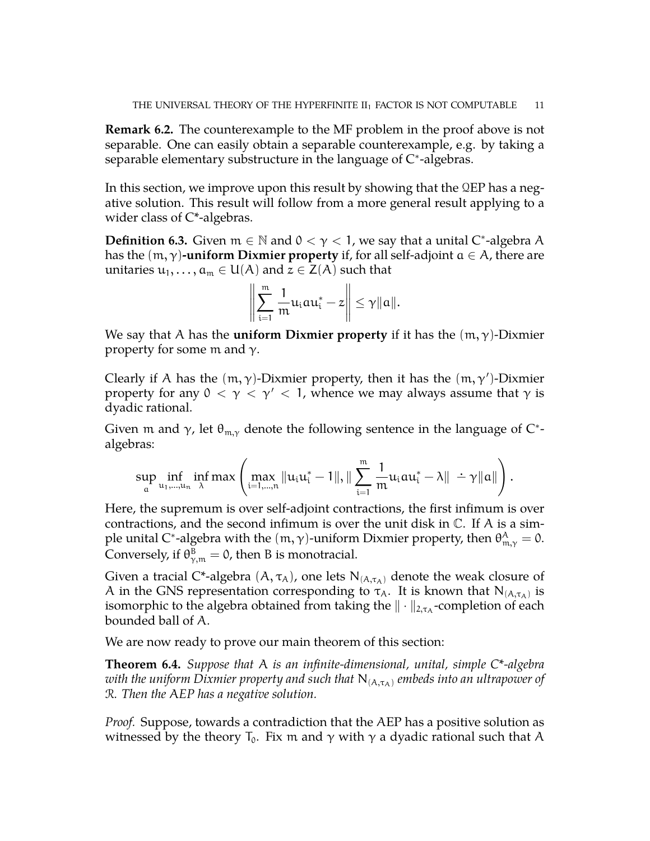**Remark 6.2.** The counterexample to the MF problem in the proof above is not separable. One can easily obtain a separable counterexample, e.g. by taking a separable elementary substructure in the language of  $C^*$ -algebras.

In this section, we improve upon this result by showing that the QEP has a negative solution. This result will follow from a more general result applying to a wider class of C\*-algebras.

**Definition 6.3.** Given  $m \in \mathbb{N}$  and  $0 < \gamma < 1$ , we say that a unital C<sup>\*</sup>-algebra A has the  $(m, \gamma)$ **-uniform Dixmier property** if, for all self-adjoint  $a \in A$ , there are unitaries  $u_1, \ldots, a_m \in U(A)$  and  $z \in Z(A)$  such that

$$
\left\|\sum_{i=1}^m \frac{1}{m}u_i a u_i^* - z\right\| \leq \gamma \|a\|.
$$

We say that A has the **uniform Dixmier property** if it has the  $(m, \gamma)$ -Dixmier property for some m and  $γ$ .

Clearly if A has the  $(m, \gamma)$ -Dixmier property, then it has the  $(m, \gamma')$ -Dixmier property for any  $0 < \gamma < \gamma' < 1$ , whence we may always assume that  $\gamma$  is dyadic rational.

Given m and  $\gamma$ , let  $\theta_{m,\gamma}$  denote the following sentence in the language of C\*algebras:

$$
\sup_{\boldsymbol{\mathfrak{a}}} \inf_{u_1,\ldots,u_n} \inf_{\boldsymbol{\lambda}}\max\left( \max_{i=1,\ldots,n} \|u_iu_i^*-1\|, \|\sum_{i=1}^{m} \frac{1}{m}u_iau_i^*-\boldsymbol{\lambda}\| \doteq \gamma \|a\| \right).
$$

Here, the supremum is over self-adjoint contractions, the first infimum is over contractions, and the second infimum is over the unit disk in  $\mathbb C$ . If A is a simple unital C\*-algebra with the  $(m, \gamma)$ -uniform Dixmier property, then  $\theta^{\text{A}}_{m, \gamma} = 0$ . Conversely, if  $\theta_{\gamma,m}^{\text{B}} = 0$ , then B is monotracial.

Given a tracial C\*-algebra  $(A, \tau_A)$ , one lets  $N_{(A, \tau_A)}$  denote the weak closure of A in the GNS representation corresponding to  $\tau_A$ . It is known that  $N_{(A,\tau_A)}$  is isomorphic to the algebra obtained from taking the  $\|\cdot\|_{2,\tau_{\mathrm{A}}}$ -completion of each bounded ball of A.

We are now ready to prove our main theorem of this section:

**Theorem 6.4.** *Suppose that* A *is an infinite-dimensional, unital, simple C\*-algebra with the uniform Dixmier property and such that*  $N_{(A,\tau_A)}$  *embeds into an ultrapower of* R*. Then the* A*EP has a negative solution.*

*Proof.* Suppose, towards a contradiction that the AEP has a positive solution as witnessed by the theory  $T_0$ . Fix m and  $\gamma$  with  $\gamma$  a dyadic rational such that A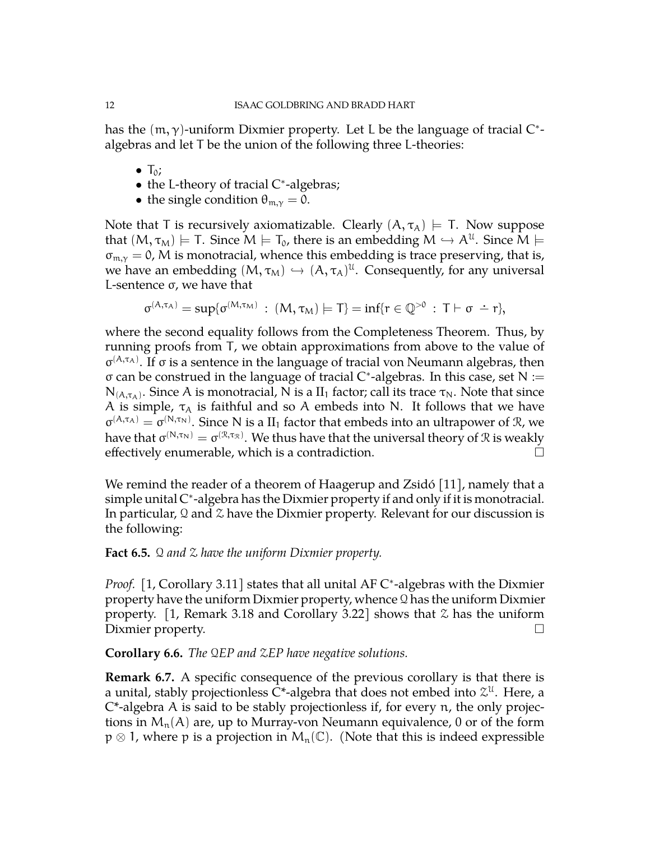has the  $(m, \gamma)$ -uniform Dixmier property. Let L be the language of tracial  $C^*$ algebras and let T be the union of the following three L-theories:

- $\bullet$  T<sub>0</sub>;
- the L-theory of tracial C\*-algebras;
- the single condition  $\theta_{m,\gamma} = 0$ .

Note that T is recursively axiomatizable. Clearly  $(A, \tau_A) \models T$ . Now suppose that  $(M, \tau_M) \models T$ . Since  $M \models T_0$ , there is an embedding  $M \hookrightarrow A^{\mathfrak{U}}$ . Since  $M \models$  $\sigma_{m,v} = 0$ , M is monotracial, whence this embedding is trace preserving, that is, we have an embedding  $(M, \tau_M) \hookrightarrow (A, \tau_A)^{\mathfrak{U}}$ . Consequently, for any universal L-sentence σ, we have that

$$
\sigma^{(A,\tau_A)} = \sup \{ \sigma^{(M,\tau_M)} \, : \, (M,\tau_M) \models T \} = \inf \{ r \in \mathbb{Q}^{>0} \, : \, T \vdash \sigma \; \doteq \; r \},
$$

where the second equality follows from the Completeness Theorem. Thus, by running proofs from T, we obtain approximations from above to the value of  $\sigma^{(A,\tau_A)}$ . If σ is a sentence in the language of tracial von Neumann algebras, then σ can be construed in the language of tracial C ∗ -algebras. In this case, set N :=  $N_{(A,\tau_A)}$ . Since A is monotracial, N is a  $II_1$  factor; call its trace  $\tau_N$ . Note that since A is simple,  $\tau_A$  is faithful and so A embeds into N. It follows that we have  $\sigma^{(A,\tau_A)} = \sigma^{(N,\tau_N)}$ . Since N is a II<sub>1</sub> factor that embeds into an ultrapower of R, we have that  $\sigma^{(N,\tau_N)}=\sigma^{(\mathcal{R},\tau_\mathcal{R})}.$  We thus have that the universal theory of  $\mathcal R$  is weakly effectively enumerable, which is a contradiction.

We remind the reader of a theorem of Haagerup and Zsidó [\[11\]](#page-14-12), namely that a simple unital C\*-algebra has the Dixmier property if and only if it is monotracial. In particular,  $\Omega$  and  $\chi$  have the Dixmier property. Relevant for our discussion is the following:

## **Fact 6.5.** Q *and* Z *have the uniform Dixmier property.*

Proof. [\[1,](#page-14-13) Corollary 3.11] states that all unital AF C<sup>\*</sup>-algebras with the Dixmier property have the uniform Dixmier property, whence  $\Omega$  has the uniform Dixmier property. [\[1,](#page-14-13) Remark 3.18 and Corollary 3.22] shows that  $\mathfrak X$  has the uniform Dixmier property.

**Corollary 6.6.** *The* Q*EP and* Z*EP have negative solutions.*

**Remark 6.7.** A specific consequence of the previous corollary is that there is a unital, stably projectionless C\*-algebra that does not embed into  $\mathcal{Z}^{\mathfrak{U}}$ . Here, a  $C^*$ -algebra A is said to be stably projectionless if, for every n, the only projections in  $M_n(A)$  are, up to Murray-von Neumann equivalence, 0 or of the form  $p \otimes 1$ , where p is a projection in  $M_n(\mathbb{C})$ . (Note that this is indeed expressible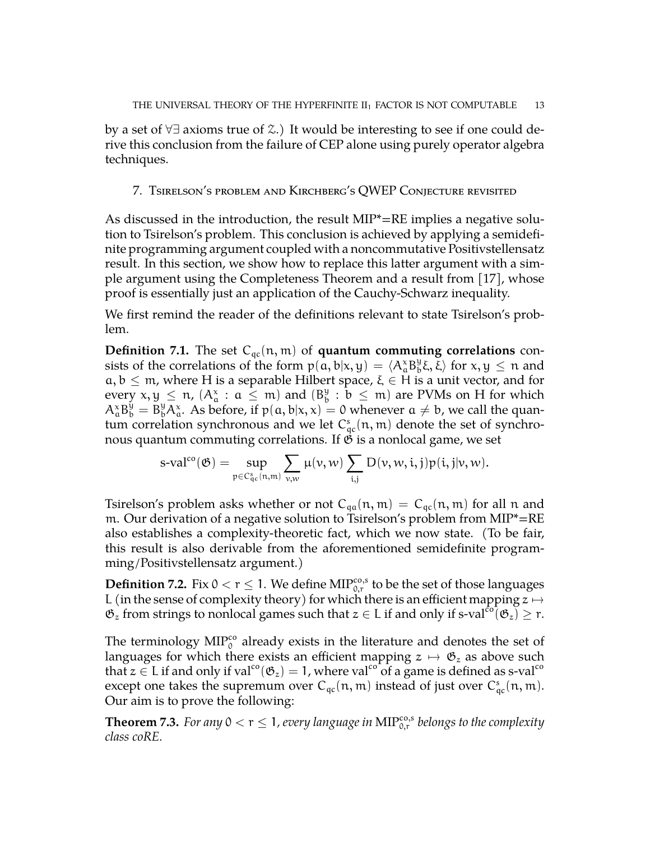by a set of ∀∃ axioms true of Z.) It would be interesting to see if one could derive this conclusion from the failure of CEP alone using purely operator algebra techniques.

## 7. Tsirelson's problem and Kirchberg's QWEP Conjecture revisited

As discussed in the introduction, the result MIP\*=RE implies a negative solution to Tsirelson's problem. This conclusion is achieved by applying a semidefinite programming argument coupled with a noncommutative Positivstellensatz result. In this section, we show how to replace this latter argument with a simple argument using the Completeness Theorem and a result from [\[17\]](#page-15-1), whose proof is essentially just an application of the Cauchy-Schwarz inequality.

We first remind the reader of the definitions relevant to state Tsirelson's problem.

**Definition 7.1.** The set  $C_{qc}(n, m)$  of **quantum commuting correlations** consists of the correlations of the form  $p(a, b|x, y) = \langle A^x_a B^y_b \xi, \xi \rangle$  for  $x, y \le n$  and  $a, b \leq m$ , where H is a separable Hilbert space,  $\xi \in H$  is a unit vector, and for every  $x, y \leq \pi$ ,  $(A^x_a : a \leq m)$  and  $(B^y_b$  $\frac{9}{b}$  :  $b \le m$ ) are PVMs on H for which  $A_{\alpha}^{\alpha}B_{b}^{\dot{y}} = B_{b}^{y}A_{a}^{\dot{x}}$ . As before, if  $p(a, b|x, x) = 0$  whenever  $a \neq b$ , we call the quantum correlation synchronous and we let  $C_{qc}^s(n, m)$  denote the set of synchronous quantum commuting correlations. If  $\mathfrak G$  is a nonlocal game, we set

$$
s\text{-val}^{\text{co}}(\mathfrak{G})=\sup_{\mathfrak{p}\in C_{\mathfrak{q}_c}^s(n,m)}\sum_{\nu,\nu}\mu(\nu,\nu)\sum_{i,j}D(\nu,\nu,i,j)p(i,j|\nu,\nu).
$$

Tsirelson's problem asks whether or not  $C_{qa}(n, m) = C_{qc}(n, m)$  for all n and m. Our derivation of a negative solution to Tsirelson's problem from MIP\*=RE also establishes a complexity-theoretic fact, which we now state. (To be fair, this result is also derivable from the aforementioned semidefinite programming/Positivstellensatz argument.)

**Definition 7.2.** Fix  $0 < r \leq 1$ . We define  $\text{MIP}_{0,r}^{\text{co},\text{s}}$  to be the set of those languages L (in the sense of complexity theory) for which there is an efficient mapping  $z \mapsto$  $\mathfrak{G}_z$  from strings to nonlocal games such that  $z \in L$  if and only if s-val<sup>co</sup>( $\mathfrak{G}_z$ )  $\geq$  r.

The terminology  $\text{MIP}_0^{\text{co}}$  already exists in the literature and denotes the set of languages for which there exists an efficient mapping  $z \mapsto \mathfrak{G}_z$  as above such that  $z \in L$  if and only if val<sup>co</sup>( $\mathfrak{G}_z$ ) = 1, where val<sup>co</sup> of a game is defined as s-val<sup>co</sup> except one takes the supremum over  $C_{qc}(n, m)$  instead of just over  $C_{qc}^s(n, m)$ . Our aim is to prove the following:

<span id="page-12-0"></span>**Theorem 7.3.** For any  $0 < r \leq 1$ , every language in  $\text{MIP}_{0,r}^{\text{co},s}$  belongs to the complexity *class coRE.*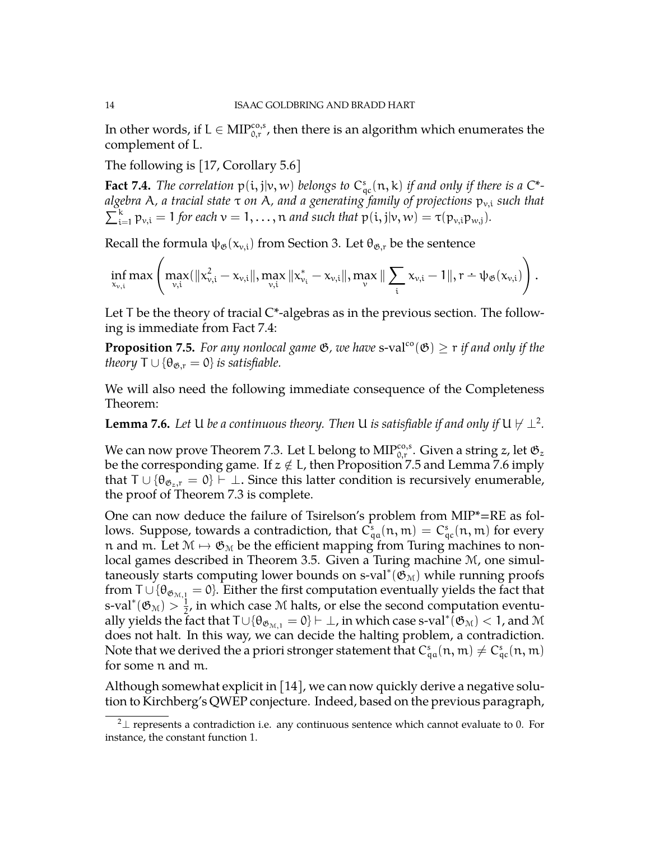In other words, if  $\mathrm{L}\in\mathrm{MIP}_{0,\mathrm{r}}^{\cos,\mathrm{s}}$ , then there is an algorithm which enumerates the complement of L.

The following is [\[17,](#page-15-1) Corollary 5.6]

<span id="page-13-0"></span>**Fact 7.4.** The correlation  $p(i, j|v, w)$  belongs to  $C_{qc}^s(n, k)$  if and only if there is a  $C^*$ *algebra* A*, a tracial state* τ *on* A*, and a generating family of projections* pv,i *such that*  $\sum_{i=1}^{k} p_{v,i} = 1$  *for each*  $v = 1, \ldots, n$  *and such that*  $p(i, j|v, w) = \tau(p_{v,i}p_{w,j}).$ 

Recall the formula  $\psi_{\mathfrak{G}}(x_{v,i})$  from Section 3. Let  $\theta_{\mathfrak{G},r}$  be the sentence

$$
\inf_{x_{\nu,i}}\max\left( \max_{\nu,i}( \|x_{\nu,i}^2 - x_{\nu,i}\|, \max_{\nu,i} \|x_{\nu_i}^* - x_{\nu,i}\|, \max_\nu\|\sum_i x_{\nu,i} - 1\|, r - \psi_\mathfrak{G}(x_{\nu,i})\right).
$$

Let  $T$  be the theory of tracial  $C^*$ -algebras as in the previous section. The following is immediate from Fact [7.4:](#page-13-0)

<span id="page-13-2"></span>**Proposition 7.5.** *For any nonlocal game*  $\mathfrak{G}$ *, we have* s-val<sup>co</sup>( $\mathfrak{G}$ )  $\geq$  r *if and only if the theory*  $T \cup {\theta_{\mathfrak{G},r}} = 0$ *} is satisfiable.* 

We will also need the following immediate consequence of the Completeness Theorem:

<span id="page-13-3"></span>**Lemma 7.6.** Let U be a continuous theory. Then U is satisfiable if and only if U  $\forall$   $\perp^2$  $\perp^2$ .

We can now prove Theorem [7.3.](#page-12-0) Let L belong to  $\text{MIP}_{0,\text{r}}^{\text{co},\text{s}}.$  Given a string  $z$ , let  $\mathfrak{G}_z$ be the corresponding game. If  $z \notin L$ , then Proposition [7.5](#page-13-2) and Lemma [7.6](#page-13-3) imply that  $T \cup {\theta_{\mathfrak{G}_z,r}} = 0$   $\vdash \bot$ . Since this latter condition is recursively enumerable, the proof of Theorem [7.3](#page-12-0) is complete.

One can now deduce the failure of Tsirelson's problem from MIP\*=RE as follows. Suppose, towards a contradiction, that  $C_{\mathfrak{q}a}^{\mathfrak{s}}(\mathfrak{n},\mathfrak{m})=C_{\mathfrak{q}c}^{\mathfrak{s}}(\mathfrak{n},\mathfrak{m})$  for every n and m. Let  $M \mapsto \mathfrak{G}_M$  be the efficient mapping from Turing machines to nonlocal games described in Theorem [3.5.](#page-5-1) Given a Turing machine M, one simultaneously starts computing lower bounds on s-val\*( $\mathfrak{G}_{\mathrm{M}}$ ) while running proofs from T ∪ { $\theta_{\mathfrak{G}_{M,1}} = 0$ }. Either the first computation eventually yields the fact that s-val\* $(\mathfrak{G}_{\mathfrak{M}}) > \frac{1}{2}$  $\frac{1}{2}$ , in which case M halts, or else the second computation eventually yields the fact that  $\tau$ ∪{ $\theta_{\mathfrak{G}_{\mathcal{M},1}}=0$ }  $\vdash \bot$ , in which case s-val $^*(\mathfrak{G}_{\mathcal{M}})< 1$ , and  $\mathcal M$ does not halt. In this way, we can decide the halting problem, a contradiction. Note that we derived the a priori stronger statement that  $C_{\mathfrak{q}a}^{\mathsf{s}}(\mathfrak{n},\mathfrak{m})\neq C_{\mathfrak{q}c}^{\mathsf{s}}(\mathfrak{n},\mathfrak{m})$ for some n and m.

Although somewhat explicit in [\[14\]](#page-14-10), we can now quickly derive a negative solution to Kirchberg's QWEP conjecture. Indeed, based on the previous paragraph,

<span id="page-13-1"></span><sup>&</sup>lt;sup>2</sup> $±$  represents a contradiction i.e. any continuous sentence which cannot evaluate to 0. For instance, the constant function 1.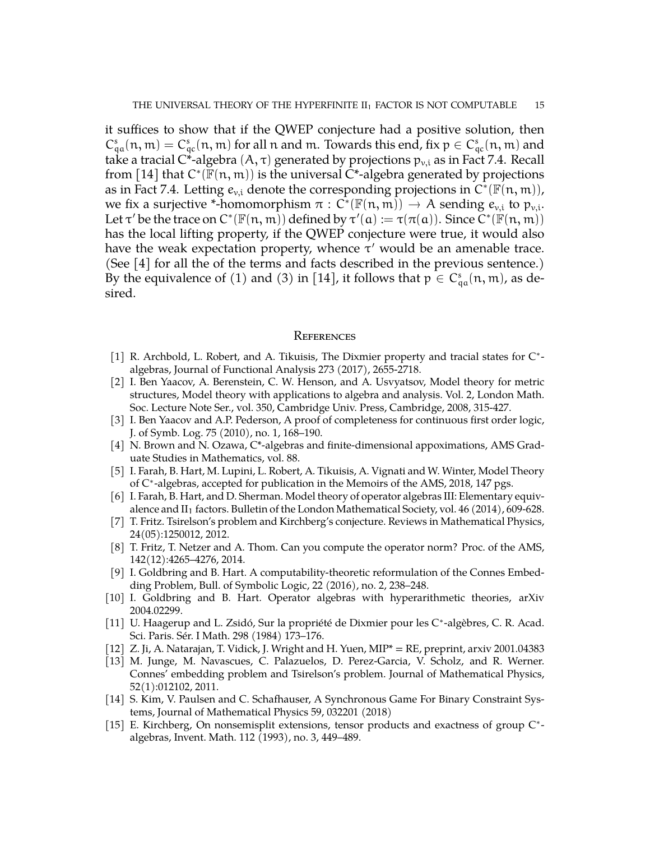it suffices to show that if the QWEP conjecture had a positive solution, then  $C_{qa}^s(n,m) = C_{qc}^s(n,m)$  for all n and m. Towards this end, fix  $p \in C_{qc}^s(n,m)$  and take a tracial C\*-algebra  $(A, \tau)$  generated by projections  $p_{v,i}$  as in Fact [7.4.](#page-13-0) Recall from [\[14\]](#page-14-10) that  $C^*(\mathbb{F}(n,m))$  is the universal  $\dot{C}^*$ -algebra generated by projections as in Fact [7.4.](#page-13-0) Letting  $e_{v,i}$  denote the corresponding projections in  $\widehat{C}^* (\mathbb{F}(n,m))$ , we fix a surjective \*-homomorphism  $\pi : C^* (\mathbb{F}(n, m)) \to A$  sending  $e_{v,i}$  to  $p_{v,i}$ .<br>Let  $\pi^{\prime}(h)$  the trace on  $C^* (\mathbb{F}(n, m))$  defined by  $\pi^{\prime}(s)$  :  $\pi^{\prime}(\pi(s))$ . Since  $C^* (\mathbb{F}(n, m))$ Let  $\tau'$  be the trace on  $C^*(\mathbb{F}(n,m))$  defined by  $\tau'(a):=\tau(\pi(a)).$  Since  $\widetilde{C}^*(\mathbb{F}(n,m))$ has the local lifting property, if the QWEP conjecture were true, it would also have the weak expectation property, whence  $\tau'$  would be an amenable trace. (See [\[4\]](#page-14-14) for all the of the terms and facts described in the previous sentence.) By the equivalence of (1) and (3) in [\[14\]](#page-14-10), it follows that  $p \in C^s_{qa}(n, m)$ , as desired.

#### **REFERENCES**

- <span id="page-14-13"></span>[1] R. Archbold, L. Robert, and A. Tikuisis, The Dixmier property and tracial states for C\*algebras, Journal of Functional Analysis 273 (2017), 2655-2718.
- <span id="page-14-7"></span>[2] I. Ben Yaacov, A. Berenstein, C. W. Henson, and A. Usvyatsov, Model theory for metric structures, Model theory with applications to algebra and analysis. Vol. 2, London Math. Soc. Lecture Note Ser., vol. 350, Cambridge Univ. Press, Cambridge, 2008, 315-427.
- <span id="page-14-6"></span>[3] I. Ben Yaacov and A.P. Pederson, A proof of completeness for continuous first order logic, J. of Symb. Log. 75 (2010), no. 1, 168–190.
- <span id="page-14-14"></span>[4] N. Brown and N. Ozawa, C\*-algebras and finite-dimensional appoximations, AMS Graduate Studies in Mathematics, vol. 88.
- <span id="page-14-8"></span>[5] I. Farah, B. Hart, M. Lupini, L. Robert, A. Tikuisis, A. Vignati and W. Winter, Model Theory of C<sup>\*</sup>-algebras, accepted for publication in the Memoirs of the AMS, 2018, 147 pgs.
- <span id="page-14-11"></span>[6] I. Farah, B. Hart, and D. Sherman. Model theory of operator algebras III: Elementary equivalence and  $II_1$  factors. Bulletin of the London Mathematical Society, vol. 46 (2014), 609-628.
- <span id="page-14-2"></span>[7] T. Fritz. Tsirelson's problem and Kirchberg's conjecture. Reviews in Mathematical Physics, 24(05):1250012, 2012.
- <span id="page-14-1"></span>[8] T. Fritz, T. Netzer and A. Thom. Can you compute the operator norm? Proc. of the AMS, 142(12):4265–4276, 2014.
- <span id="page-14-5"></span>[9] I. Goldbring and B. Hart. A computability-theoretic reformulation of the Connes Embedding Problem, Bull. of Symbolic Logic, 22 (2016), no. 2, 238–248.
- <span id="page-14-9"></span>[10] I. Goldbring and B. Hart. Operator algebras with hyperarithmetic theories, arXiv 2004.02299.
- <span id="page-14-12"></span>[11] U. Haagerup and L. Zsidó, Sur la propriété de Dixmier pour les C\*-algèbres, C. R. Acad. Sci. Paris. Sér. I Math. 298 (1984) 173–176.
- <span id="page-14-0"></span>[12] Z. Ji, A. Natarajan, T. Vidick, J. Wright and H. Yuen, MIP\* = RE, preprint, arxiv 2001.04383
- <span id="page-14-3"></span>[13] M. Junge, M. Navascues, C. Palazuelos, D. Perez-Garcia, V. Scholz, and R. Werner. Connes' embedding problem and Tsirelson's problem. Journal of Mathematical Physics, 52(1):012102, 2011.
- <span id="page-14-10"></span>[14] S. Kim, V. Paulsen and C. Schafhauser, A Synchronous Game For Binary Constraint Systems, Journal of Mathematical Physics 59, 032201 (2018)
- <span id="page-14-4"></span>[15] E. Kirchberg, On nonsemisplit extensions, tensor products and exactness of group C\*algebras, Invent. Math. 112 (1993), no. 3, 449–489.